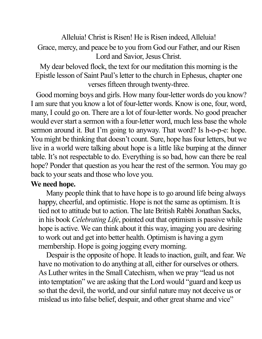Alleluia! Christ is Risen! He is Risen indeed, Alleluia! Grace, mercy, and peace be to you from God our Father, and our Risen Lord and Savior, Jesus Christ.

My dear beloved flock, the text for our meditation this morning is the Epistle lesson of Saint Paul's letter to the church in Ephesus, chapter one verses fifteen through twenty-three.

Good morning boys and girls. How many four-letter words do you know? I am sure that you know a lot of four-letter words. Know is one, four, word, many, I could go on. There are a lot of four-letter words. No good preacher would ever start a sermon with a four-letter word, much less base the whole sermon around it. But I'm going to anyway. That word? Is h-o-p-e: hope. You might be thinking that doesn't count. Sure, hope has four letters, but we live in a world were talking about hope is a little like burping at the dinner table. It's not respectable to do. Everything is so bad, how can there be real hope? Ponder that question as you hear the rest of the sermon. You may go back to your seats and those who love you.

## **We need hope.**

Many people think that to have hope is to go around life being always happy, cheerful, and optimistic. Hope is not the same as optimism. It is tied not to attitude but to action. The late British Rabbi Jonathan Sacks, in his book *Celebrating Life*, pointed out that optimism is passive while hope is active. We can think about it this way, imaging you are desiring to work out and get into better health. Optimism is having a gym membership. Hope is going jogging every morning.

Despair is the opposite of hope. It leads to inaction, guilt, and fear. We have no motivation to do anything at all, either for ourselves or others. As Luther writes in the Small Catechism, when we pray "lead us not into temptation" we are asking that the Lord would "guard and keep us so that the devil, the world, and our sinful nature may not deceive us or mislead us into false belief, despair, and other great shame and vice"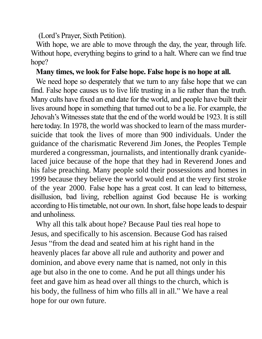(Lord's Prayer, Sixth Petition).

With hope, we are able to move through the day, the year, through life. Without hope, everything begins to grind to a halt. Where can we find true hope?

## **Many times, we look for False hope. False hope is no hope at all.**

We need hope so desperately that we turn to any false hope that we can find. False hope causes us to live life trusting in a lie rather than the truth. Many cults have fixed an end date for the world, and people have built their lives around hope in something that turned out to be a lie. For example, the Jehovah's Witnesses state that the end of the world would be 1923. It is still here today. In 1978, the world was shocked to learn of the mass murdersuicide that took the lives of more than 900 individuals. Under the guidance of the charismatic Reverend Jim Jones, the Peoples Temple murdered a congressman, journalists, and intentionally drank cyanidelaced juice because of the hope that they had in Reverend Jones and his false preaching. Many people sold their possessions and homes in 1999 because they believe the world would end at the very first stroke of the year 2000. False hope has a great cost. It can lead to bitterness, disillusion, bad living, rebellion against God because He is working according to His timetable, not our own. In short, false hope leads to despair and unholiness.

Why all this talk about hope? Because Paul ties real hope to Jesus, and specifically to his ascension. Because God has raised Jesus "from the dead and seated him at his right hand in the heavenly places far above all rule and authority and power and dominion, and above every name that is named, not only in this age but also in the one to come. And he put all things under his feet and gave him as head over all things to the church, which is his body, the fullness of him who fills all in all." We have a real hope for our own future.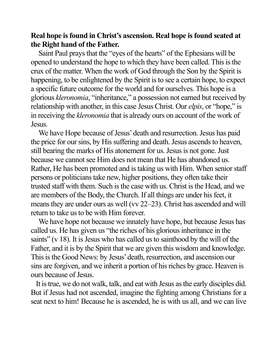## **Real hope is found in Christ's ascension. Real hope is found seated at the Right hand of the Father.**

Saint Paul prays that the "eyes of the hearts" of the Ephesians will be opened to understand the hope to which they have been called. This is the crux of the matter. When the work of God through the Son by the Spirit is happening, to be enlightened by the Spirit is to see a certain hope, to expect a specific future outcome for the world and for ourselves. This hope is a glorious *kleronomia*, "inheritance," a possession not earned but received by relationship with another, in this case Jesus Christ. Our *elpis*, or "hope," is in receiving the *kleronomia* that is already ours on account of the work of Jesus.

We have Hope because of Jesus' death and resurrection. Jesus has paid the price for our sins, by His suffering and death. Jesus ascends to heaven, still bearing the marks of His atonement for us. Jesus is not gone. Just because we cannot see Him does not mean that He has abandoned us. Rather, He has been promoted and is taking us with Him. When senior staff persons or politicians take new, higher positions, they often take their trusted staff with them. Such is the case with us. Christ is the Head, and we are members of the Body, the Church. If all things are under his feet, it means they are under ours as well (vv 22–23). Christ has ascended and will return to take us to be with Him forever.

We have hope not because we innately have hope, but because Jesus has called us. He has given us "the riches of his glorious inheritance in the saints" (v 18). It is Jesus who has called us to sainthood by the will of the Father, and it is by the Spirit that we are given this wisdom and knowledge. This is the Good News: by Jesus' death, resurrection, and ascension our sins are forgiven, and we inherit a portion of his riches by grace. Heaven is ours because of Jesus.

It is true, we do not walk, talk, and eat with Jesus as the early disciples did. But if Jesus had not ascended, imagine the fighting among Christians for a seat next to him! Because he is ascended, he is with us all, and we can live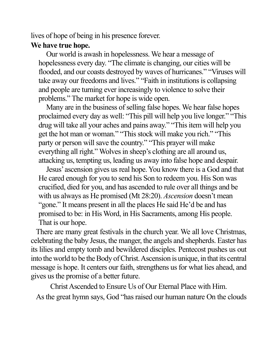lives of hope of being in his presence forever.

## **We have true hope.**

Our world is awash in hopelessness. We hear a message of hopelessness every day. "The climate is changing, our cities will be flooded, and our coasts destroyed by waves of hurricanes." "Viruses will take away our freedoms and lives." "Faith in institutions is collapsing and people are turning ever increasingly to violence to solve their problems." The market for hope is wide open.

Many are in the business of selling false hopes. We hear false hopes proclaimed every day as well: "This pill will help you live longer." "This drug will take all your aches and pains away." "This item will help you get the hot man or woman." "This stock will make you rich." "This party or person will save the country." "This prayer will make everything all right." Wolves in sheep's clothing are all around us, attacking us, tempting us, leading us away into false hope and despair.

Jesus' ascension gives us real hope. You know there is a God and that He cared enough for you to send his Son to redeem you. His Son was crucified, died for you, and has ascended to rule over all things and be with us always as He promised (Mt 28:20). *Ascension* doesn't mean "gone." It means present in all the places He said He'd be and has promised to be: in His Word, in His Sacraments, among His people. That is our hope.

There are many great festivals in the church year. We all love Christmas, celebrating the baby Jesus, the manger, the angels and shepherds. Easter has its lilies and empty tomb and bewildered disciples. Pentecost pushes us out into the world to be the Body of Christ. Ascension is unique, in that its central message is hope. It centers our faith, strengthens us for what lies ahead, and gives us the promise of a better future.

Christ Ascended to Ensure Us of Our Eternal Place with Him. As the great hymn says, God "has raised our human nature On the clouds